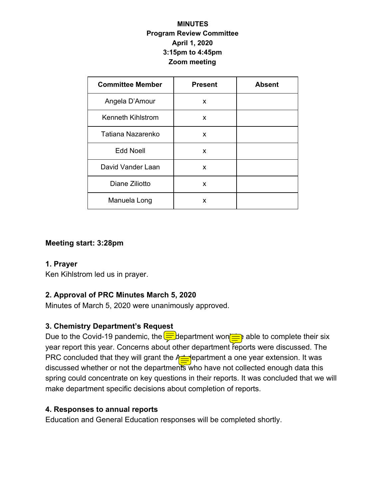### **MINUTES Program Review Committee April 1, 2020 3:15pm to 4:45pm Zoom meeting**

| <b>Committee Member</b>  | <b>Present</b> | <b>Absent</b> |
|--------------------------|----------------|---------------|
| Angela D'Amour           | X              |               |
| <b>Kenneth Kihlstrom</b> | x              |               |
| Tatiana Nazarenko        | x              |               |
| <b>Edd Noell</b>         | x              |               |
| David Vander Laan        | X              |               |
| Diane Ziliotto           | X              |               |
| Manuela Long             | X              |               |

#### **Meeting start: 3:28pm**

#### **1. Prayer**

Ken Kihlstrom led us in prayer.

## **2. Approval of PRC Minutes March 5, 2020**

Minutes of March 5, 2020 were unanimously approved.

## **3. Chemistry Department's Request**

Due to the Covid-19 pandemic, the  $\sqrt{\frac{1}{n}}$  department won $\sqrt{\frac{1}{n}}$  able to complete their six year report this year. Concerns about other department reports were discussed. The PRC concluded that they will grant the  $A \equiv \text{e}$  epartment a one year extension. It was discussed whether or not the departments who have not collected enough data this spring could concentrate on key questions in their reports. It was concluded that we will make department specific decisions about completion of reports.

### **4. Responses to annual reports**

Education and General Education responses will be completed shortly.